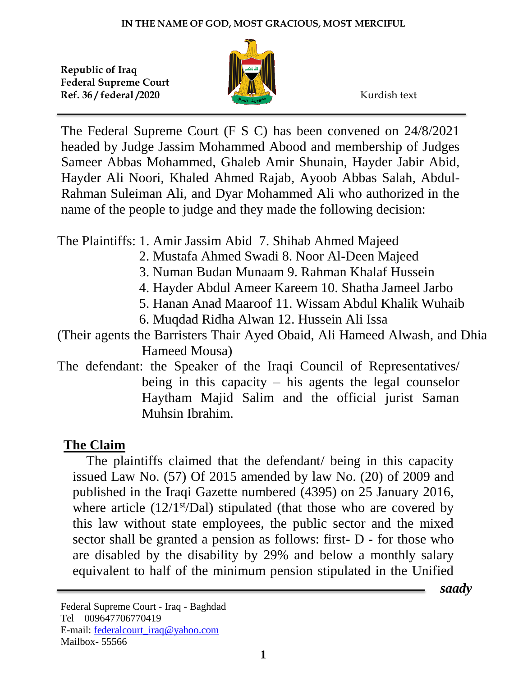

The Federal Supreme Court (F S C) has been convened on 24/8/2021 headed by Judge Jassim Mohammed Abood and membership of Judges Sameer Abbas Mohammed, Ghaleb Amir Shunain, Hayder Jabir Abid, Hayder Ali Noori, Khaled Ahmed Rajab, Ayoob Abbas Salah, Abdul-Rahman Suleiman Ali, and Dyar Mohammed Ali who authorized in the name of the people to judge and they made the following decision:

The Plaintiffs: 1. Amir Jassim Abid 7. Shihab Ahmed Majeed

- 2. Mustafa Ahmed Swadi 8. Noor Al-Deen Majeed
- 3. Numan Budan Munaam 9. Rahman Khalaf Hussein
- 4. Hayder Abdul Ameer Kareem 10. Shatha Jameel Jarbo
- 5. Hanan Anad Maaroof 11. Wissam Abdul Khalik Wuhaib
- 6. Muqdad Ridha Alwan 12. Hussein Ali Issa
- (Their agents the Barristers Thair Ayed Obaid, Ali Hameed Alwash, and Dhia Hameed Mousa)
- The defendant: the Speaker of the Iraqi Council of Representatives/ being in this capacity – his agents the legal counselor Haytham Majid Salim and the official jurist Saman Muhsin Ibrahim.

## **The Claim**

 The plaintiffs claimed that the defendant/ being in this capacity issued Law No. (57) Of 2015 amended by law No. (20) of 2009 and published in the Iraqi Gazette numbered (4395) on 25 January 2016, where article  $(12/1<sup>st</sup>/\text{Dal})$  stipulated (that those who are covered by this law without state employees, the public sector and the mixed sector shall be granted a pension as follows: first- D - for those who are disabled by the disability by 29% and below a monthly salary equivalent to half of the minimum pension stipulated in the Unified

 *saady*

Federal Supreme Court - Iraq - Baghdad Tel – 009647706770419 E-mail: [federalcourt\\_iraq@yahoo.com](mailto:federalcourt_iraq@yahoo.com) Mailbox- 55566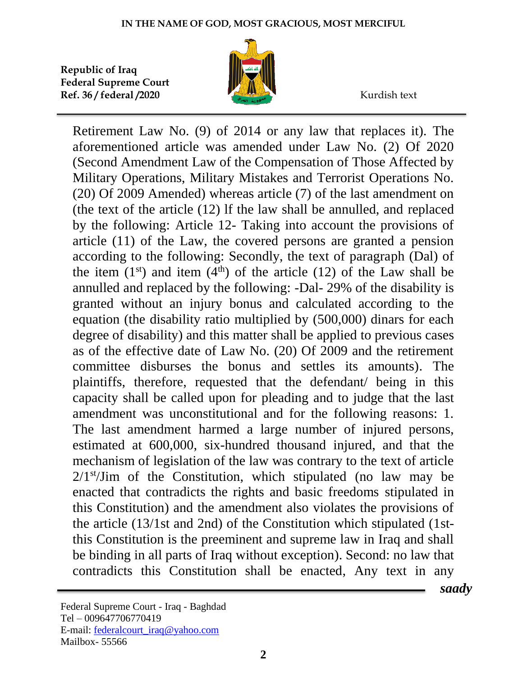

Retirement Law No. (9) of 2014 or any law that replaces it). The aforementioned article was amended under Law No. (2) Of 2020 (Second Amendment Law of the Compensation of Those Affected by Military Operations, Military Mistakes and Terrorist Operations No. (20) Of 2009 Amended) whereas article (7) of the last amendment on (the text of the article (12) lf the law shall be annulled, and replaced by the following: Article 12- Taking into account the provisions of article (11) of the Law, the covered persons are granted a pension according to the following: Secondly, the text of paragraph (Dal) of the item  $(1<sup>st</sup>)$  and item  $(4<sup>th</sup>)$  of the article  $(12)$  of the Law shall be annulled and replaced by the following: -Dal- 29% of the disability is granted without an injury bonus and calculated according to the equation (the disability ratio multiplied by (500,000) dinars for each degree of disability) and this matter shall be applied to previous cases as of the effective date of Law No. (20) Of 2009 and the retirement committee disburses the bonus and settles its amounts). The plaintiffs, therefore, requested that the defendant/ being in this capacity shall be called upon for pleading and to judge that the last amendment was unconstitutional and for the following reasons: 1. The last amendment harmed a large number of injured persons, estimated at 600,000, six-hundred thousand injured, and that the mechanism of legislation of the law was contrary to the text of article 2/1<sup>st</sup>/Jim of the Constitution, which stipulated (no law may be enacted that contradicts the rights and basic freedoms stipulated in this Constitution) and the amendment also violates the provisions of the article (13/1st and 2nd) of the Constitution which stipulated (1stthis Constitution is the preeminent and supreme law in Iraq and shall be binding in all parts of Iraq without exception). Second: no law that contradicts this Constitution shall be enacted, Any text in any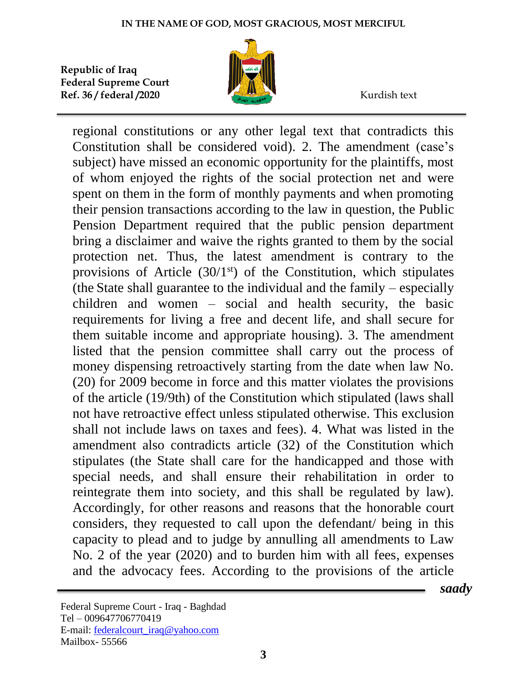

regional constitutions or any other legal text that contradicts this Constitution shall be considered void). 2. The amendment (case's subject) have missed an economic opportunity for the plaintiffs, most of whom enjoyed the rights of the social protection net and were spent on them in the form of monthly payments and when promoting their pension transactions according to the law in question, the Public Pension Department required that the public pension department bring a disclaimer and waive the rights granted to them by the social protection net. Thus, the latest amendment is contrary to the provisions of Article  $(30/1<sup>st</sup>)$  of the Constitution, which stipulates (the State shall guarantee to the individual and the family – especially children and women – social and health security, the basic requirements for living a free and decent life, and shall secure for them suitable income and appropriate housing). 3. The amendment listed that the pension committee shall carry out the process of money dispensing retroactively starting from the date when law No. (20) for 2009 become in force and this matter violates the provisions of the article (19/9th) of the Constitution which stipulated (laws shall not have retroactive effect unless stipulated otherwise. This exclusion shall not include laws on taxes and fees). 4. What was listed in the amendment also contradicts article (32) of the Constitution which stipulates (the State shall care for the handicapped and those with special needs, and shall ensure their rehabilitation in order to reintegrate them into society, and this shall be regulated by law). Accordingly, for other reasons and reasons that the honorable court considers, they requested to call upon the defendant/ being in this capacity to plead and to judge by annulling all amendments to Law No. 2 of the year (2020) and to burden him with all fees, expenses and the advocacy fees. According to the provisions of the article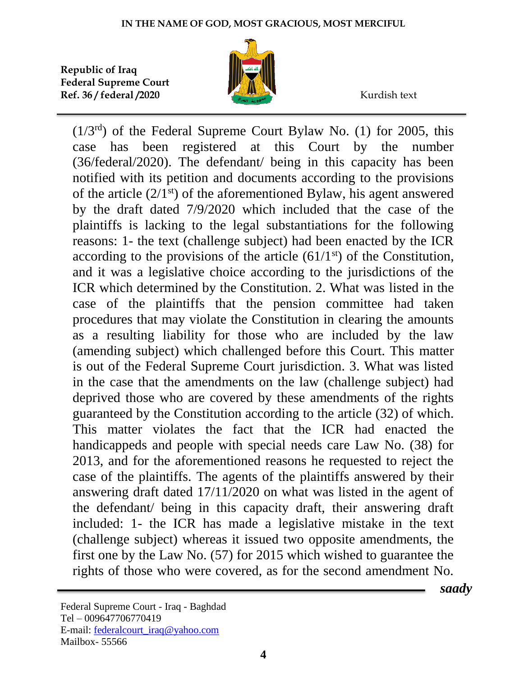

 $(1/3<sup>rd</sup>)$  of the Federal Supreme Court Bylaw No. (1) for 2005, this case has been registered at this Court by the number (36/federal/2020). The defendant/ being in this capacity has been notified with its petition and documents according to the provisions of the article  $(2/1<sup>st</sup>)$  of the aforementioned Bylaw, his agent answered by the draft dated 7/9/2020 which included that the case of the plaintiffs is lacking to the legal substantiations for the following reasons: 1- the text (challenge subject) had been enacted by the ICR according to the provisions of the article  $(61/1<sup>st</sup>)$  of the Constitution, and it was a legislative choice according to the jurisdictions of the ICR which determined by the Constitution. 2. What was listed in the case of the plaintiffs that the pension committee had taken procedures that may violate the Constitution in clearing the amounts as a resulting liability for those who are included by the law (amending subject) which challenged before this Court. This matter is out of the Federal Supreme Court jurisdiction. 3. What was listed in the case that the amendments on the law (challenge subject) had deprived those who are covered by these amendments of the rights guaranteed by the Constitution according to the article (32) of which. This matter violates the fact that the ICR had enacted the handicappeds and people with special needs care Law No. (38) for 2013, and for the aforementioned reasons he requested to reject the case of the plaintiffs. The agents of the plaintiffs answered by their answering draft dated 17/11/2020 on what was listed in the agent of the defendant/ being in this capacity draft, their answering draft included: 1- the ICR has made a legislative mistake in the text (challenge subject) whereas it issued two opposite amendments, the first one by the Law No. (57) for 2015 which wished to guarantee the rights of those who were covered, as for the second amendment No.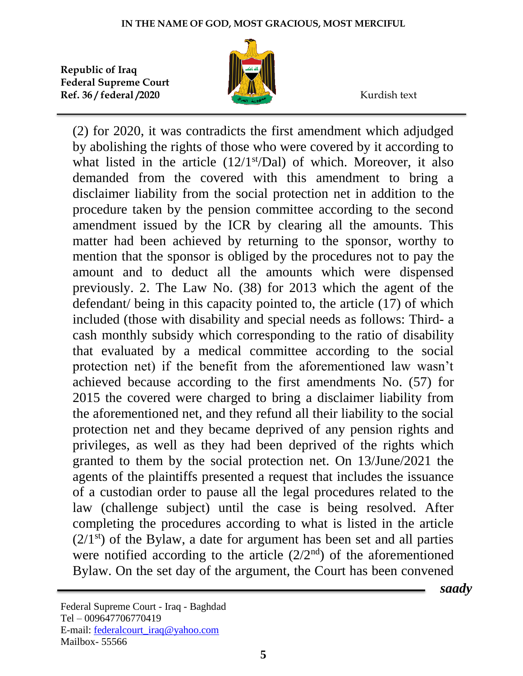

(2) for 2020, it was contradicts the first amendment which adjudged by abolishing the rights of those who were covered by it according to what listed in the article  $(12/1<sup>st</sup>/Da)$  of which. Moreover, it also demanded from the covered with this amendment to bring a disclaimer liability from the social protection net in addition to the procedure taken by the pension committee according to the second amendment issued by the ICR by clearing all the amounts. This matter had been achieved by returning to the sponsor, worthy to mention that the sponsor is obliged by the procedures not to pay the amount and to deduct all the amounts which were dispensed previously. 2. The Law No. (38) for 2013 which the agent of the defendant/ being in this capacity pointed to, the article (17) of which included (those with disability and special needs as follows: Third- a cash monthly subsidy which corresponding to the ratio of disability that evaluated by a medical committee according to the social protection net) if the benefit from the aforementioned law wasn't achieved because according to the first amendments No. (57) for 2015 the covered were charged to bring a disclaimer liability from the aforementioned net, and they refund all their liability to the social protection net and they became deprived of any pension rights and privileges, as well as they had been deprived of the rights which granted to them by the social protection net. On 13/June/2021 the agents of the plaintiffs presented a request that includes the issuance of a custodian order to pause all the legal procedures related to the law (challenge subject) until the case is being resolved. After completing the procedures according to what is listed in the article  $(2/1^{st})$  of the Bylaw, a date for argument has been set and all parties were notified according to the article (2/2nd) of the aforementioned Bylaw. On the set day of the argument, the Court has been convened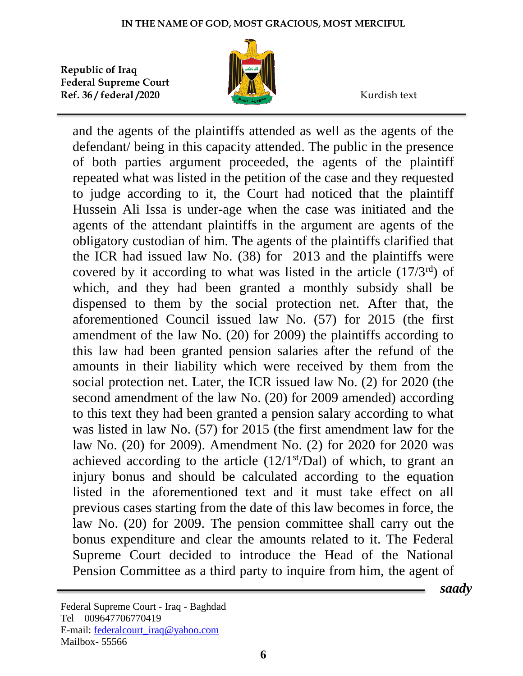

and the agents of the plaintiffs attended as well as the agents of the defendant/ being in this capacity attended. The public in the presence of both parties argument proceeded, the agents of the plaintiff repeated what was listed in the petition of the case and they requested to judge according to it, the Court had noticed that the plaintiff Hussein Ali Issa is under-age when the case was initiated and the agents of the attendant plaintiffs in the argument are agents of the obligatory custodian of him. The agents of the plaintiffs clarified that the ICR had issued law No. (38) for 2013 and the plaintiffs were covered by it according to what was listed in the article  $(17/3<sup>rd</sup>)$  of which, and they had been granted a monthly subsidy shall be dispensed to them by the social protection net. After that, the aforementioned Council issued law No. (57) for 2015 (the first amendment of the law No. (20) for 2009) the plaintiffs according to this law had been granted pension salaries after the refund of the amounts in their liability which were received by them from the social protection net. Later, the ICR issued law No. (2) for 2020 (the second amendment of the law No. (20) for 2009 amended) according to this text they had been granted a pension salary according to what was listed in law No. (57) for 2015 (the first amendment law for the law No. (20) for 2009). Amendment No. (2) for 2020 for 2020 was achieved according to the article  $(12/1<sup>st</sup>/Da)$  of which, to grant an injury bonus and should be calculated according to the equation listed in the aforementioned text and it must take effect on all previous cases starting from the date of this law becomes in force, the law No. (20) for 2009. The pension committee shall carry out the bonus expenditure and clear the amounts related to it. The Federal Supreme Court decided to introduce the Head of the National Pension Committee as a third party to inquire from him, the agent of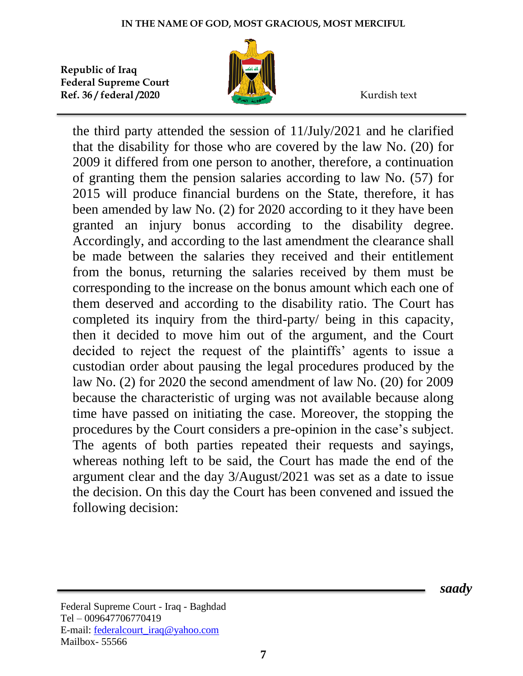

the third party attended the session of 11/July/2021 and he clarified that the disability for those who are covered by the law No. (20) for 2009 it differed from one person to another, therefore, a continuation of granting them the pension salaries according to law No. (57) for 2015 will produce financial burdens on the State, therefore, it has been amended by law No. (2) for 2020 according to it they have been granted an injury bonus according to the disability degree. Accordingly, and according to the last amendment the clearance shall be made between the salaries they received and their entitlement from the bonus, returning the salaries received by them must be corresponding to the increase on the bonus amount which each one of them deserved and according to the disability ratio. The Court has completed its inquiry from the third-party/ being in this capacity, then it decided to move him out of the argument, and the Court decided to reject the request of the plaintiffs' agents to issue a custodian order about pausing the legal procedures produced by the law No. (2) for 2020 the second amendment of law No. (20) for 2009 because the characteristic of urging was not available because along time have passed on initiating the case. Moreover, the stopping the procedures by the Court considers a pre-opinion in the case's subject. The agents of both parties repeated their requests and sayings, whereas nothing left to be said, the Court has made the end of the argument clear and the day 3/August/2021 was set as a date to issue the decision. On this day the Court has been convened and issued the following decision: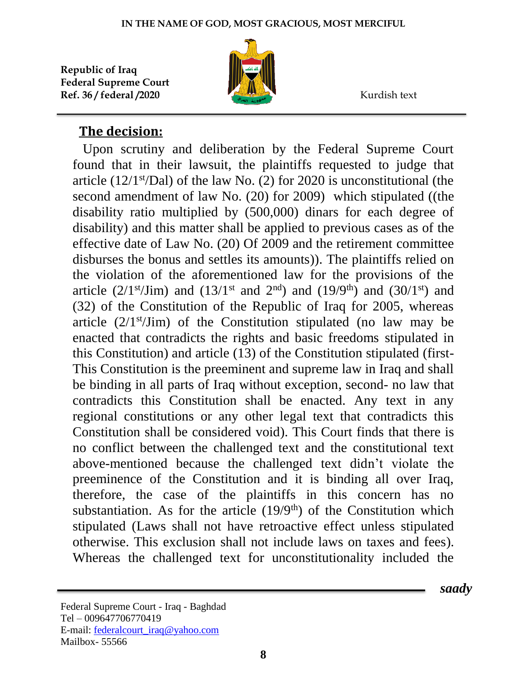

## **The decision:**

 Upon scrutiny and deliberation by the Federal Supreme Court found that in their lawsuit, the plaintiffs requested to judge that article ( $12/1$ <sup>st</sup>/Dal) of the law No. (2) for 2020 is unconstitutional (the second amendment of law No. (20) for 2009) which stipulated ((the disability ratio multiplied by (500,000) dinars for each degree of disability) and this matter shall be applied to previous cases as of the effective date of Law No. (20) Of 2009 and the retirement committee disburses the bonus and settles its amounts)). The plaintiffs relied on the violation of the aforementioned law for the provisions of the article (2/1<sup>st</sup>/Jim) and (13/1<sup>st</sup> and 2<sup>nd</sup>) and (19/9<sup>th</sup>) and (30/1<sup>st</sup>) and (32) of the Constitution of the Republic of Iraq for 2005, whereas article  $(2/1<sup>st</sup>/Jim)$  of the Constitution stipulated (no law may be enacted that contradicts the rights and basic freedoms stipulated in this Constitution) and article (13) of the Constitution stipulated (first-This Constitution is the preeminent and supreme law in Iraq and shall be binding in all parts of Iraq without exception, second- no law that contradicts this Constitution shall be enacted. Any text in any regional constitutions or any other legal text that contradicts this Constitution shall be considered void). This Court finds that there is no conflict between the challenged text and the constitutional text above-mentioned because the challenged text didn't violate the preeminence of the Constitution and it is binding all over Iraq, therefore, the case of the plaintiffs in this concern has no substantiation. As for the article  $(19/9<sup>th</sup>)$  of the Constitution which stipulated (Laws shall not have retroactive effect unless stipulated otherwise. This exclusion shall not include laws on taxes and fees). Whereas the challenged text for unconstitutionality included the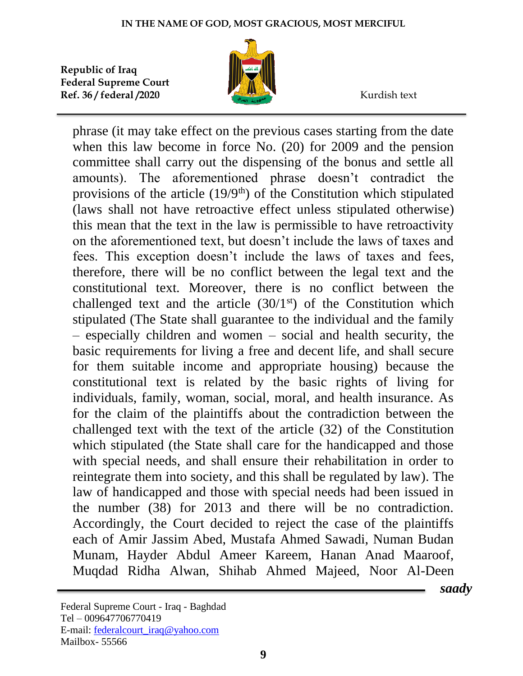

phrase (it may take effect on the previous cases starting from the date when this law become in force No. (20) for 2009 and the pension committee shall carry out the dispensing of the bonus and settle all amounts). The aforementioned phrase doesn't contradict the provisions of the article  $(19/9<sup>th</sup>)$  of the Constitution which stipulated (laws shall not have retroactive effect unless stipulated otherwise) this mean that the text in the law is permissible to have retroactivity on the aforementioned text, but doesn't include the laws of taxes and fees. This exception doesn't include the laws of taxes and fees, therefore, there will be no conflict between the legal text and the constitutional text. Moreover, there is no conflict between the challenged text and the article  $(30/1<sup>st</sup>)$  of the Constitution which stipulated (The State shall guarantee to the individual and the family – especially children and women – social and health security, the basic requirements for living a free and decent life, and shall secure for them suitable income and appropriate housing) because the constitutional text is related by the basic rights of living for individuals, family, woman, social, moral, and health insurance. As for the claim of the plaintiffs about the contradiction between the challenged text with the text of the article (32) of the Constitution which stipulated (the State shall care for the handicapped and those with special needs, and shall ensure their rehabilitation in order to reintegrate them into society, and this shall be regulated by law). The law of handicapped and those with special needs had been issued in the number (38) for 2013 and there will be no contradiction. Accordingly, the Court decided to reject the case of the plaintiffs each of Amir Jassim Abed, Mustafa Ahmed Sawadi, Numan Budan Munam, Hayder Abdul Ameer Kareem, Hanan Anad Maaroof, Muqdad Ridha Alwan, Shihab Ahmed Majeed, Noor Al-Deen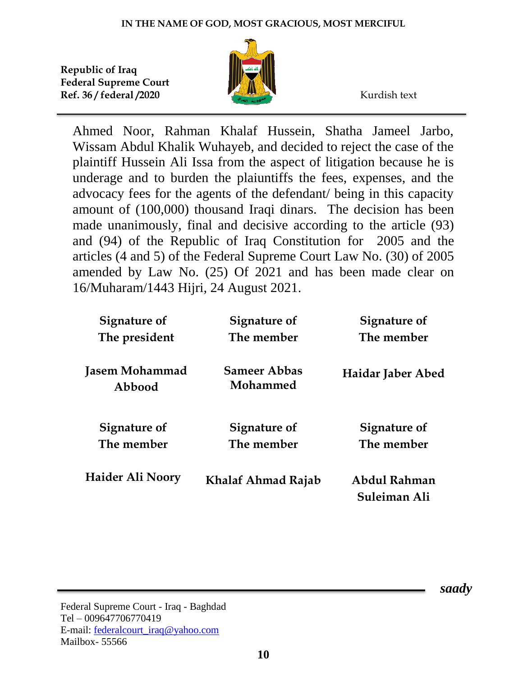

Ahmed Noor, Rahman Khalaf Hussein, Shatha Jameel Jarbo, Wissam Abdul Khalik Wuhayeb, and decided to reject the case of the plaintiff Hussein Ali Issa from the aspect of litigation because he is underage and to burden the plaiuntiffs the fees, expenses, and the advocacy fees for the agents of the defendant/ being in this capacity amount of (100,000) thousand Iraqi dinars. The decision has been made unanimously, final and decisive according to the article (93) and (94) of the Republic of Iraq Constitution for 2005 and the articles (4 and 5) of the Federal Supreme Court Law No. (30) of 2005 amended by Law No. (25) Of 2021 and has been made clear on 16/Muharam/1443 Hijri, 24 August 2021.

| <b>Signature of</b>      | Signature of                    | Signature of                 |
|--------------------------|---------------------------------|------------------------------|
| The president            | The member                      | The member                   |
| Jasem Mohammad<br>Abbood | <b>Sameer Abbas</b><br>Mohammed | Haidar Jaber Abed            |
| Signature of             | Signature of                    | Signature of                 |
| The member               | The member                      | The member                   |
| Haider Ali Noory         | <b>Khalaf Ahmad Rajab</b>       | Abdul Rahman<br>Suleiman Ali |

 *saady*

Federal Supreme Court - Iraq - Baghdad Tel – 009647706770419 E-mail: [federalcourt\\_iraq@yahoo.com](mailto:federalcourt_iraq@yahoo.com) Mailbox- 55566